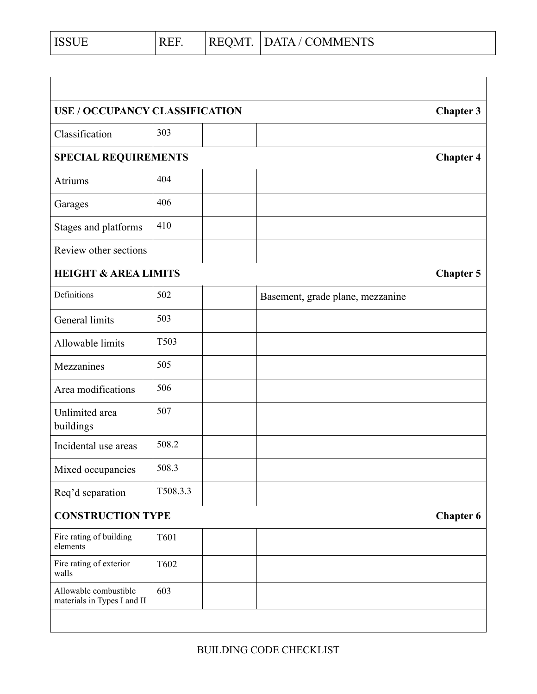| <b>ISSUE</b> | <b>REF</b><br>17 L . | REOMT. | DATA / COMMENTS |
|--------------|----------------------|--------|-----------------|
|              |                      |        |                 |

| <b>USE / OCCUPANCY CLASSIFICATION</b>                |             | <b>Chapter 3</b>                 |  |
|------------------------------------------------------|-------------|----------------------------------|--|
| Classification                                       | 303         |                                  |  |
| SPECIAL REQUIREMENTS                                 |             | <b>Chapter 4</b>                 |  |
| Atriums                                              | 404         |                                  |  |
| Garages                                              | 406         |                                  |  |
| Stages and platforms                                 | 410         |                                  |  |
| Review other sections                                |             |                                  |  |
| <b>HEIGHT &amp; AREA LIMITS</b>                      |             | <b>Chapter 5</b>                 |  |
| Definitions                                          | 502         | Basement, grade plane, mezzanine |  |
| General limits                                       | 503         |                                  |  |
| Allowable limits                                     | T503        |                                  |  |
| Mezzanines                                           | 505         |                                  |  |
| Area modifications                                   | 506         |                                  |  |
| Unlimited area<br>buildings                          | 507         |                                  |  |
| Incidental use areas                                 | 508.2       |                                  |  |
| Mixed occupancies                                    | 508.3       |                                  |  |
| Req'd separation                                     | T508.3.3    |                                  |  |
| <b>CONSTRUCTION TYPE</b><br><b>Chapter 6</b>         |             |                                  |  |
| Fire rating of building<br>elements                  | <b>T601</b> |                                  |  |
| Fire rating of exterior<br>walls                     | T602        |                                  |  |
| Allowable combustible<br>materials in Types I and II | 603         |                                  |  |
|                                                      |             |                                  |  |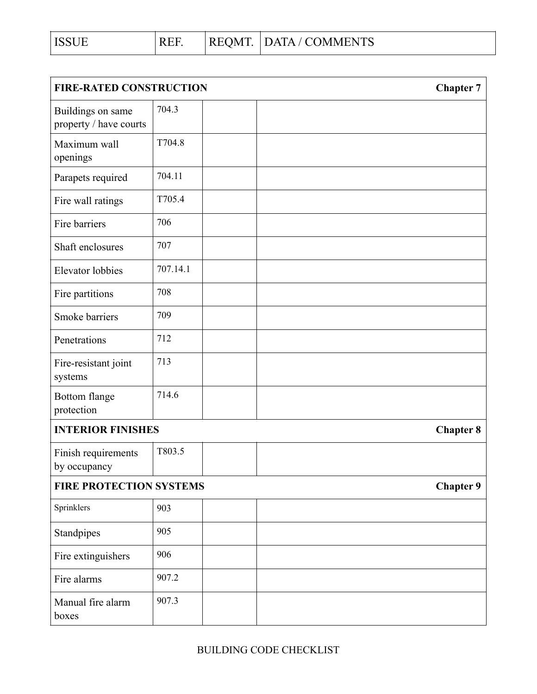| <b>FIRE-RATED CONSTRUCTION</b>              |          | <b>Chapter 7</b> |
|---------------------------------------------|----------|------------------|
| Buildings on same<br>property / have courts | 704.3    |                  |
| Maximum wall<br>openings                    | T704.8   |                  |
| Parapets required                           | 704.11   |                  |
| Fire wall ratings                           | T705.4   |                  |
| Fire barriers                               | 706      |                  |
| Shaft enclosures                            | 707      |                  |
| <b>Elevator</b> lobbies                     | 707.14.1 |                  |
| Fire partitions                             | 708      |                  |
| Smoke barriers                              | 709      |                  |
| Penetrations                                | 712      |                  |
| Fire-resistant joint<br>systems             | 713      |                  |
| Bottom flange<br>protection                 | 714.6    |                  |
| <b>INTERIOR FINISHES</b>                    |          | <b>Chapter 8</b> |
| Finish requirements<br>by occupancy         | T803.5   |                  |
| <b>FIRE PROTECTION SYSTEMS</b>              |          | <b>Chapter 9</b> |
| Sprinklers                                  | 903      |                  |
| Standpipes                                  | 905      |                  |
| Fire extinguishers                          | 906      |                  |
| Fire alarms                                 | 907.2    |                  |
| Manual fire alarm<br>boxes                  | 907.3    |                  |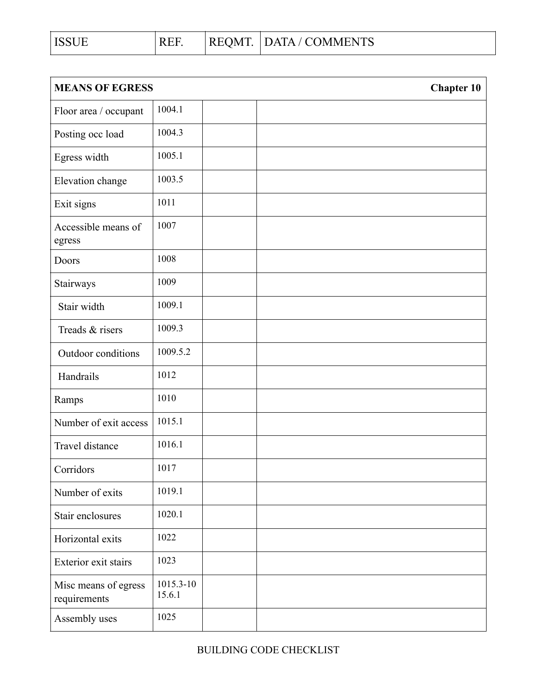| <b>ISSUE</b> | <b>REE</b> | REOMT. | DATA / COMMENTS |
|--------------|------------|--------|-----------------|
|              |            |        |                 |

| <b>MEANS OF EGRESS</b>               |                     | <b>Chapter 10</b> |
|--------------------------------------|---------------------|-------------------|
| Floor area / occupant                | 1004.1              |                   |
| Posting occ load                     | 1004.3              |                   |
| Egress width                         | 1005.1              |                   |
| Elevation change                     | 1003.5              |                   |
| Exit signs                           | 1011                |                   |
| Accessible means of<br>egress        | 1007                |                   |
| Doors                                | 1008                |                   |
| Stairways                            | 1009                |                   |
| Stair width                          | 1009.1              |                   |
| Treads & risers                      | 1009.3              |                   |
| Outdoor conditions                   | 1009.5.2            |                   |
| Handrails                            | 1012                |                   |
| Ramps                                | 1010                |                   |
| Number of exit access                | 1015.1              |                   |
| Travel distance                      | 1016.1              |                   |
| Corridors                            | 1017                |                   |
| Number of exits                      | 1019.1              |                   |
| Stair enclosures                     | 1020.1              |                   |
| Horizontal exits                     | 1022                |                   |
| Exterior exit stairs                 | 1023                |                   |
| Misc means of egress<br>requirements | 1015.3-10<br>15.6.1 |                   |
| Assembly uses                        | 1025                |                   |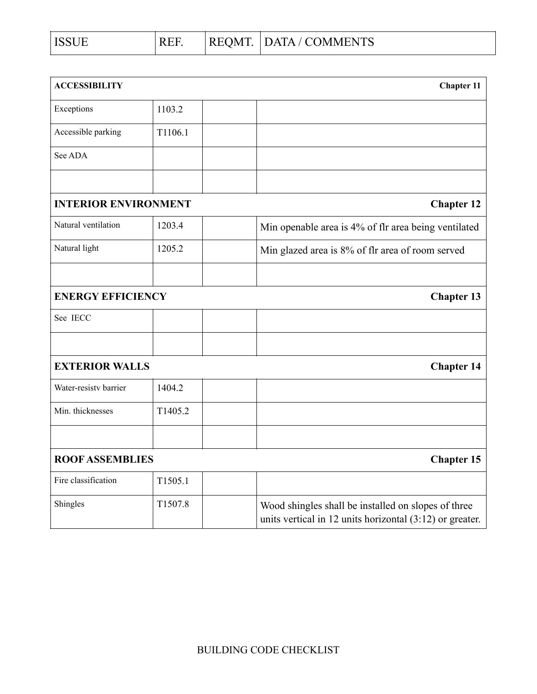| <b>ISSUE</b> | $\mathbf{H}$<br>. | REOMT.<br>w | DATA / COMMENTS |
|--------------|-------------------|-------------|-----------------|
|              |                   |             |                 |

| <b>ACCESSIBILITY</b>        |         |  | <b>Chapter 11</b>                                                                                                 |
|-----------------------------|---------|--|-------------------------------------------------------------------------------------------------------------------|
| Exceptions                  | 1103.2  |  |                                                                                                                   |
| Accessible parking          | T1106.1 |  |                                                                                                                   |
| See ADA                     |         |  |                                                                                                                   |
|                             |         |  |                                                                                                                   |
| <b>INTERIOR ENVIRONMENT</b> |         |  | <b>Chapter 12</b>                                                                                                 |
| Natural ventilation         | 1203.4  |  | Min openable area is 4% of flr area being ventilated                                                              |
| Natural light               | 1205.2  |  | Min glazed area is 8% of flr area of room served                                                                  |
|                             |         |  |                                                                                                                   |
| <b>ENERGY EFFICIENCY</b>    |         |  | <b>Chapter 13</b>                                                                                                 |
| See IECC                    |         |  |                                                                                                                   |
|                             |         |  |                                                                                                                   |
| <b>EXTERIOR WALLS</b>       |         |  | <b>Chapter 14</b>                                                                                                 |
| Water-resisty barrier       | 1404.2  |  |                                                                                                                   |
| Min. thicknesses            | T1405.2 |  |                                                                                                                   |
|                             |         |  |                                                                                                                   |
| <b>ROOF ASSEMBLIES</b>      |         |  | <b>Chapter 15</b>                                                                                                 |
| Fire classification         | T1505.1 |  |                                                                                                                   |
| Shingles                    | T1507.8 |  | Wood shingles shall be installed on slopes of three<br>units vertical in 12 units horizontal $(3:12)$ or greater. |